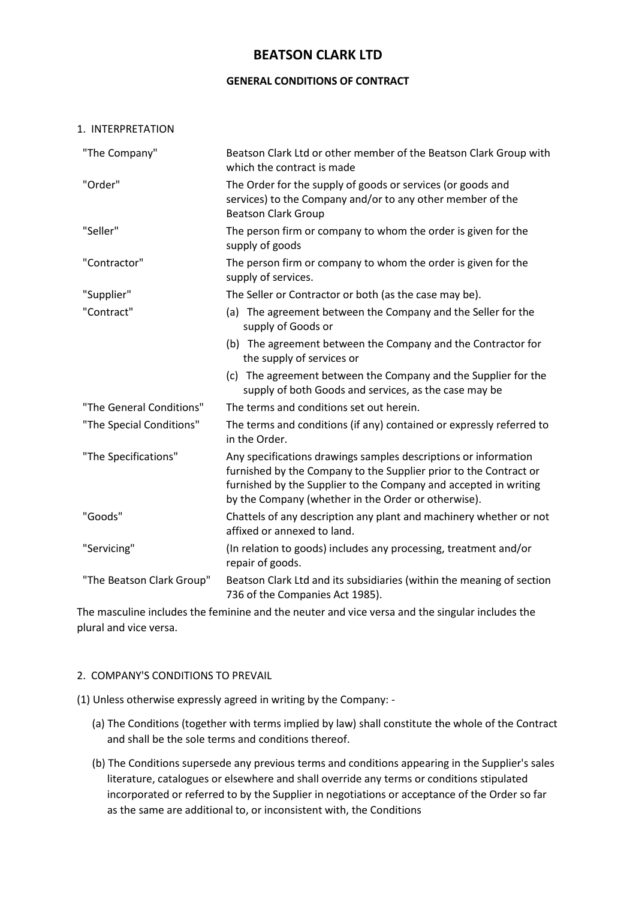# **BEATSON CLARK LTD**

### **GENERAL CONDITIONS OF CONTRACT**

#### 1. INTERPRETATION

| "The Company"             | Beatson Clark Ltd or other member of the Beatson Clark Group with<br>which the contract is made                                                                                                                                                                 |
|---------------------------|-----------------------------------------------------------------------------------------------------------------------------------------------------------------------------------------------------------------------------------------------------------------|
| "Order"                   | The Order for the supply of goods or services (or goods and<br>services) to the Company and/or to any other member of the<br><b>Beatson Clark Group</b>                                                                                                         |
| "Seller"                  | The person firm or company to whom the order is given for the<br>supply of goods                                                                                                                                                                                |
| "Contractor"              | The person firm or company to whom the order is given for the<br>supply of services.                                                                                                                                                                            |
| "Supplier"                | The Seller or Contractor or both (as the case may be).                                                                                                                                                                                                          |
| "Contract"                | (a) The agreement between the Company and the Seller for the<br>supply of Goods or                                                                                                                                                                              |
|                           | (b) The agreement between the Company and the Contractor for<br>the supply of services or                                                                                                                                                                       |
|                           | (c) The agreement between the Company and the Supplier for the<br>supply of both Goods and services, as the case may be                                                                                                                                         |
| "The General Conditions"  | The terms and conditions set out herein.                                                                                                                                                                                                                        |
| "The Special Conditions"  | The terms and conditions (if any) contained or expressly referred to<br>in the Order.                                                                                                                                                                           |
| "The Specifications"      | Any specifications drawings samples descriptions or information<br>furnished by the Company to the Supplier prior to the Contract or<br>furnished by the Supplier to the Company and accepted in writing<br>by the Company (whether in the Order or otherwise). |
| "Goods"                   | Chattels of any description any plant and machinery whether or not<br>affixed or annexed to land.                                                                                                                                                               |
| "Servicing"               | (In relation to goods) includes any processing, treatment and/or<br>repair of goods.                                                                                                                                                                            |
| "The Beatson Clark Group" | Beatson Clark Ltd and its subsidiaries (within the meaning of section<br>736 of the Companies Act 1985).                                                                                                                                                        |

The masculine includes the feminine and the neuter and vice versa and the singular includes the plural and vice versa.

## 2. COMPANY'S CONDITIONS TO PREVAIL

(1) Unless otherwise expressly agreed in writing by the Company: -

- (a) The Conditions (together with terms implied by law) shall constitute the whole of the Contract and shall be the sole terms and conditions thereof.
- (b) The Conditions supersede any previous terms and conditions appearing in the Supplier's sales literature, catalogues or elsewhere and shall override any terms or conditions stipulated incorporated or referred to by the Supplier in negotiations or acceptance of the Order so far as the same are additional to, or inconsistent with, the Conditions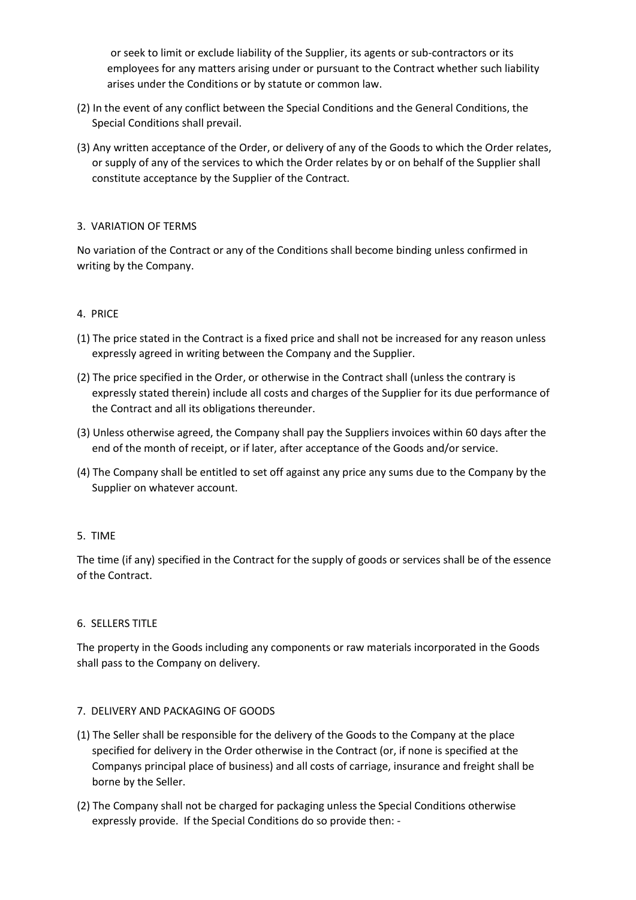or seek to limit or exclude liability of the Supplier, its agents or sub-contractors or its employees for any matters arising under or pursuant to the Contract whether such liability arises under the Conditions or by statute or common law.

- (2) In the event of any conflict between the Special Conditions and the General Conditions, the Special Conditions shall prevail.
- (3) Any written acceptance of the Order, or delivery of any of the Goods to which the Order relates, or supply of any of the services to which the Order relates by or on behalf of the Supplier shall constitute acceptance by the Supplier of the Contract.

## 3. VARIATION OF TERMS

No variation of the Contract or any of the Conditions shall become binding unless confirmed in writing by the Company.

## 4. PRICE

- (1) The price stated in the Contract is a fixed price and shall not be increased for any reason unless expressly agreed in writing between the Company and the Supplier.
- (2) The price specified in the Order, or otherwise in the Contract shall (unless the contrary is expressly stated therein) include all costs and charges of the Supplier for its due performance of the Contract and all its obligations thereunder.
- (3) Unless otherwise agreed, the Company shall pay the Suppliers invoices within 60 days after the end of the month of receipt, or if later, after acceptance of the Goods and/or service.
- (4) The Company shall be entitled to set off against any price any sums due to the Company by the Supplier on whatever account.

## 5. TIME

The time (if any) specified in the Contract for the supply of goods or services shall be of the essence of the Contract.

## 6. SELLERS TITLE

The property in the Goods including any components or raw materials incorporated in the Goods shall pass to the Company on delivery.

## 7. DELIVERY AND PACKAGING OF GOODS

- (1) The Seller shall be responsible for the delivery of the Goods to the Company at the place specified for delivery in the Order otherwise in the Contract (or, if none is specified at the Companys principal place of business) and all costs of carriage, insurance and freight shall be borne by the Seller.
- (2) The Company shall not be charged for packaging unless the Special Conditions otherwise expressly provide. If the Special Conditions do so provide then: -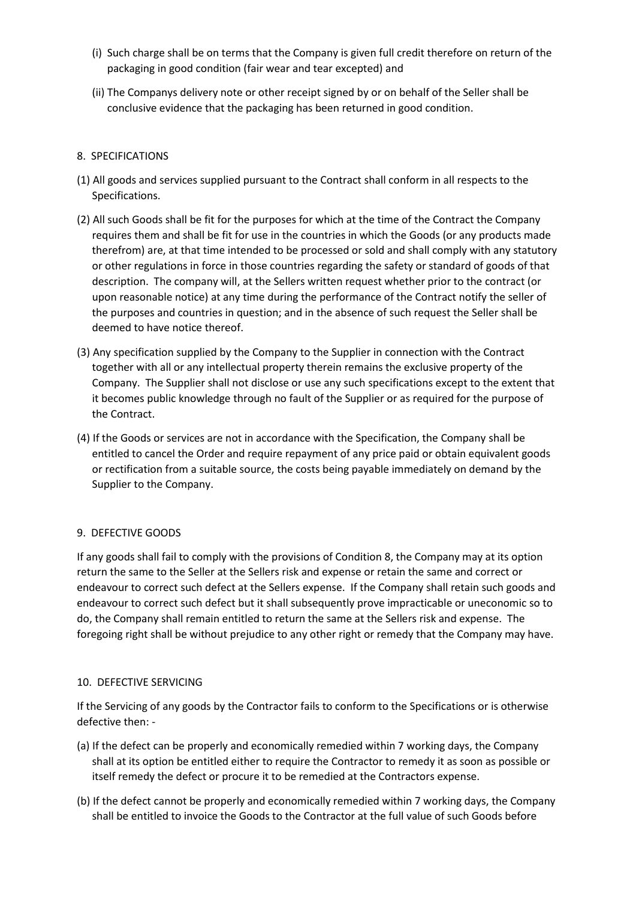- (i) Such charge shall be on terms that the Company is given full credit therefore on return of the packaging in good condition (fair wear and tear excepted) and
- (ii) The Companys delivery note or other receipt signed by or on behalf of the Seller shall be conclusive evidence that the packaging has been returned in good condition.

# 8. SPECIFICATIONS

- (1) All goods and services supplied pursuant to the Contract shall conform in all respects to the Specifications.
- (2) All such Goods shall be fit for the purposes for which at the time of the Contract the Company requires them and shall be fit for use in the countries in which the Goods (or any products made therefrom) are, at that time intended to be processed or sold and shall comply with any statutory or other regulations in force in those countries regarding the safety or standard of goods of that description. The company will, at the Sellers written request whether prior to the contract (or upon reasonable notice) at any time during the performance of the Contract notify the seller of the purposes and countries in question; and in the absence of such request the Seller shall be deemed to have notice thereof.
- (3) Any specification supplied by the Company to the Supplier in connection with the Contract together with all or any intellectual property therein remains the exclusive property of the Company. The Supplier shall not disclose or use any such specifications except to the extent that it becomes public knowledge through no fault of the Supplier or as required for the purpose of the Contract.
- (4) If the Goods or services are not in accordance with the Specification, the Company shall be entitled to cancel the Order and require repayment of any price paid or obtain equivalent goods or rectification from a suitable source, the costs being payable immediately on demand by the Supplier to the Company.

# 9. DEFECTIVE GOODS

If any goods shall fail to comply with the provisions of Condition 8, the Company may at its option return the same to the Seller at the Sellers risk and expense or retain the same and correct or endeavour to correct such defect at the Sellers expense. If the Company shall retain such goods and endeavour to correct such defect but it shall subsequently prove impracticable or uneconomic so to do, the Company shall remain entitled to return the same at the Sellers risk and expense. The foregoing right shall be without prejudice to any other right or remedy that the Company may have.

## 10. DEFECTIVE SERVICING

If the Servicing of any goods by the Contractor fails to conform to the Specifications or is otherwise defective then: -

- (a) If the defect can be properly and economically remedied within 7 working days, the Company shall at its option be entitled either to require the Contractor to remedy it as soon as possible or itself remedy the defect or procure it to be remedied at the Contractors expense.
- (b) If the defect cannot be properly and economically remedied within 7 working days, the Company shall be entitled to invoice the Goods to the Contractor at the full value of such Goods before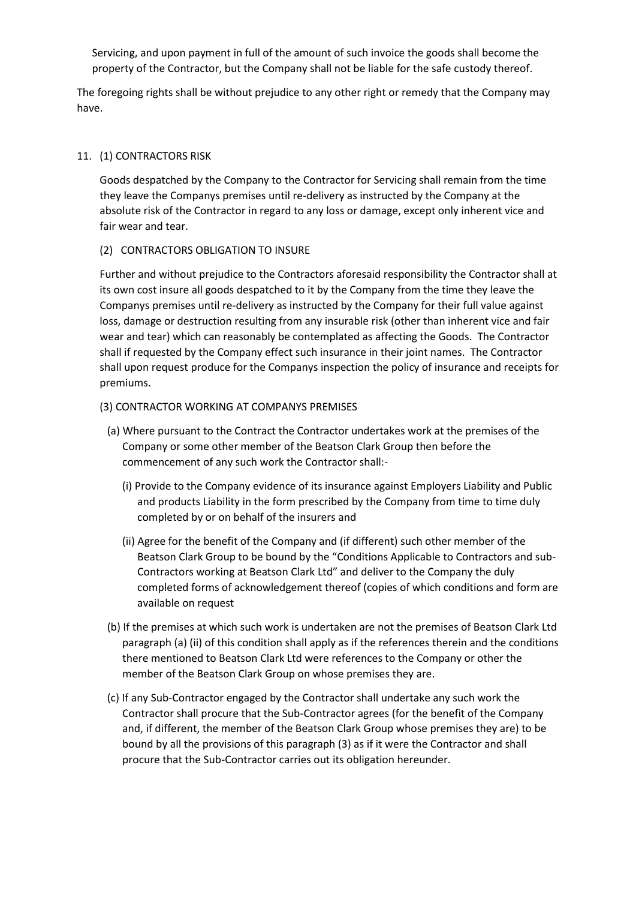Servicing, and upon payment in full of the amount of such invoice the goods shall become the property of the Contractor, but the Company shall not be liable for the safe custody thereof.

The foregoing rights shall be without prejudice to any other right or remedy that the Company may have.

### 11. (1) CONTRACTORS RISK

Goods despatched by the Company to the Contractor for Servicing shall remain from the time they leave the Companys premises until re-delivery as instructed by the Company at the absolute risk of the Contractor in regard to any loss or damage, except only inherent vice and fair wear and tear.

## (2) CONTRACTORS OBLIGATION TO INSURE

Further and without prejudice to the Contractors aforesaid responsibility the Contractor shall at its own cost insure all goods despatched to it by the Company from the time they leave the Companys premises until re-delivery as instructed by the Company for their full value against loss, damage or destruction resulting from any insurable risk (other than inherent vice and fair wear and tear) which can reasonably be contemplated as affecting the Goods. The Contractor shall if requested by the Company effect such insurance in their joint names. The Contractor shall upon request produce for the Companys inspection the policy of insurance and receipts for premiums.

#### (3) CONTRACTOR WORKING AT COMPANYS PREMISES

- (a) Where pursuant to the Contract the Contractor undertakes work at the premises of the Company or some other member of the Beatson Clark Group then before the commencement of any such work the Contractor shall:-
	- (i) Provide to the Company evidence of its insurance against Employers Liability and Public and products Liability in the form prescribed by the Company from time to time duly completed by or on behalf of the insurers and
	- (ii) Agree for the benefit of the Company and (if different) such other member of the Beatson Clark Group to be bound by the "Conditions Applicable to Contractors and sub-Contractors working at Beatson Clark Ltd" and deliver to the Company the duly completed forms of acknowledgement thereof (copies of which conditions and form are available on request
- (b) If the premises at which such work is undertaken are not the premises of Beatson Clark Ltd paragraph (a) (ii) of this condition shall apply as if the references therein and the conditions there mentioned to Beatson Clark Ltd were references to the Company or other the member of the Beatson Clark Group on whose premises they are.
- (c) If any Sub-Contractor engaged by the Contractor shall undertake any such work the Contractor shall procure that the Sub-Contractor agrees (for the benefit of the Company and, if different, the member of the Beatson Clark Group whose premises they are) to be bound by all the provisions of this paragraph (3) as if it were the Contractor and shall procure that the Sub-Contractor carries out its obligation hereunder.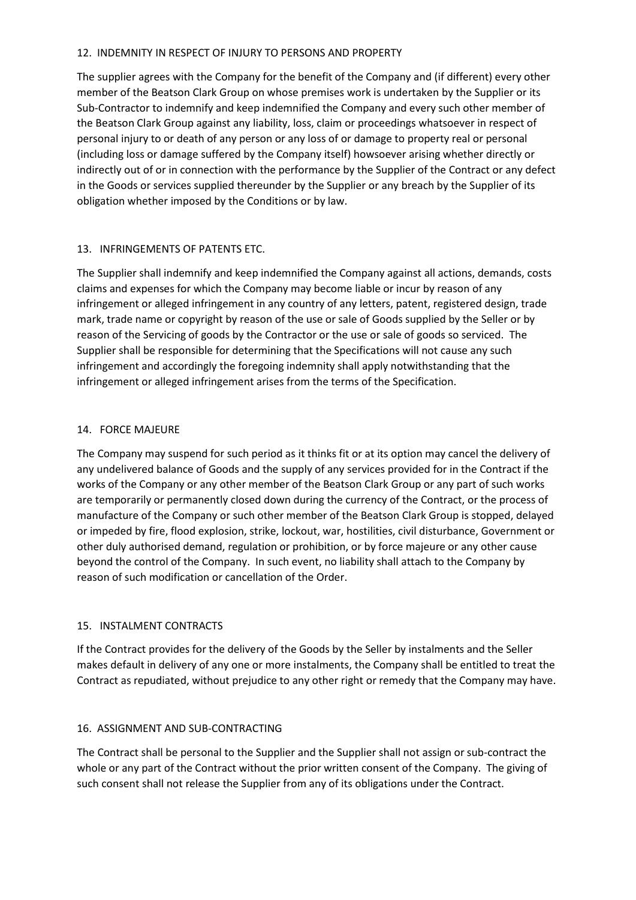## 12. INDEMNITY IN RESPECT OF INJURY TO PERSONS AND PROPERTY

The supplier agrees with the Company for the benefit of the Company and (if different) every other member of the Beatson Clark Group on whose premises work is undertaken by the Supplier or its Sub-Contractor to indemnify and keep indemnified the Company and every such other member of the Beatson Clark Group against any liability, loss, claim or proceedings whatsoever in respect of personal injury to or death of any person or any loss of or damage to property real or personal (including loss or damage suffered by the Company itself) howsoever arising whether directly or indirectly out of or in connection with the performance by the Supplier of the Contract or any defect in the Goods or services supplied thereunder by the Supplier or any breach by the Supplier of its obligation whether imposed by the Conditions or by law.

## 13. INFRINGEMENTS OF PATENTS ETC.

The Supplier shall indemnify and keep indemnified the Company against all actions, demands, costs claims and expenses for which the Company may become liable or incur by reason of any infringement or alleged infringement in any country of any letters, patent, registered design, trade mark, trade name or copyright by reason of the use or sale of Goods supplied by the Seller or by reason of the Servicing of goods by the Contractor or the use or sale of goods so serviced. The Supplier shall be responsible for determining that the Specifications will not cause any such infringement and accordingly the foregoing indemnity shall apply notwithstanding that the infringement or alleged infringement arises from the terms of the Specification.

## 14. FORCE MAJEURE

The Company may suspend for such period as it thinks fit or at its option may cancel the delivery of any undelivered balance of Goods and the supply of any services provided for in the Contract if the works of the Company or any other member of the Beatson Clark Group or any part of such works are temporarily or permanently closed down during the currency of the Contract, or the process of manufacture of the Company or such other member of the Beatson Clark Group is stopped, delayed or impeded by fire, flood explosion, strike, lockout, war, hostilities, civil disturbance, Government or other duly authorised demand, regulation or prohibition, or by force majeure or any other cause beyond the control of the Company. In such event, no liability shall attach to the Company by reason of such modification or cancellation of the Order.

# 15. INSTALMENT CONTRACTS

If the Contract provides for the delivery of the Goods by the Seller by instalments and the Seller makes default in delivery of any one or more instalments, the Company shall be entitled to treat the Contract as repudiated, without prejudice to any other right or remedy that the Company may have.

## 16. ASSIGNMENT AND SUB-CONTRACTING

The Contract shall be personal to the Supplier and the Supplier shall not assign or sub-contract the whole or any part of the Contract without the prior written consent of the Company. The giving of such consent shall not release the Supplier from any of its obligations under the Contract.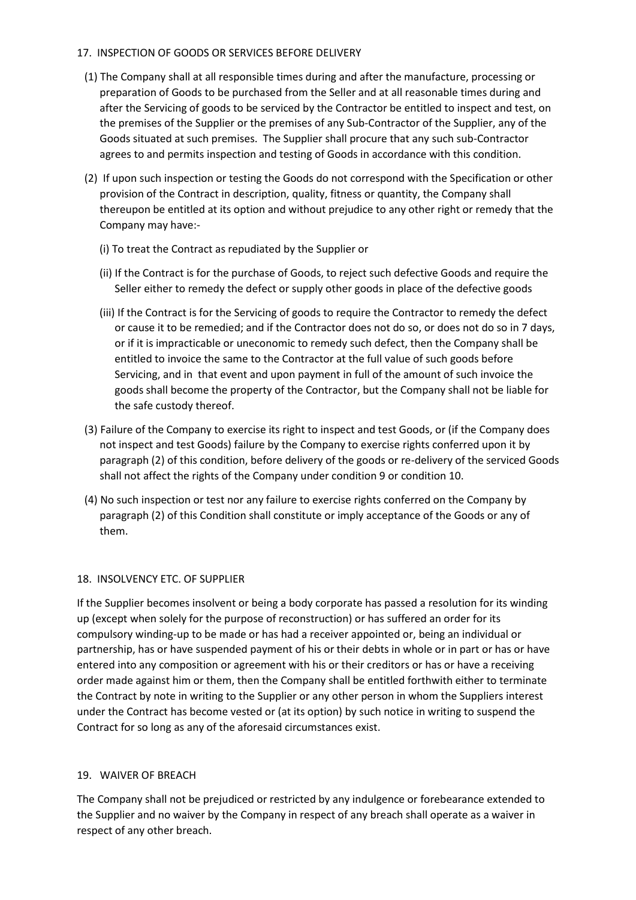# 17. INSPECTION OF GOODS OR SERVICES BEFORE DELIVERY

- (1) The Company shall at all responsible times during and after the manufacture, processing or preparation of Goods to be purchased from the Seller and at all reasonable times during and after the Servicing of goods to be serviced by the Contractor be entitled to inspect and test, on the premises of the Supplier or the premises of any Sub-Contractor of the Supplier, any of the Goods situated at such premises. The Supplier shall procure that any such sub-Contractor agrees to and permits inspection and testing of Goods in accordance with this condition.
- (2) If upon such inspection or testing the Goods do not correspond with the Specification or other provision of the Contract in description, quality, fitness or quantity, the Company shall thereupon be entitled at its option and without prejudice to any other right or remedy that the Company may have:-
	- (i) To treat the Contract as repudiated by the Supplier or
	- (ii) If the Contract is for the purchase of Goods, to reject such defective Goods and require the Seller either to remedy the defect or supply other goods in place of the defective goods
	- (iii) If the Contract is for the Servicing of goods to require the Contractor to remedy the defect or cause it to be remedied; and if the Contractor does not do so, or does not do so in 7 days, or if it is impracticable or uneconomic to remedy such defect, then the Company shall be entitled to invoice the same to the Contractor at the full value of such goods before Servicing, and in that event and upon payment in full of the amount of such invoice the goods shall become the property of the Contractor, but the Company shall not be liable for the safe custody thereof.
- (3) Failure of the Company to exercise its right to inspect and test Goods, or (if the Company does not inspect and test Goods) failure by the Company to exercise rights conferred upon it by paragraph (2) of this condition, before delivery of the goods or re-delivery of the serviced Goods shall not affect the rights of the Company under condition 9 or condition 10.
- (4) No such inspection or test nor any failure to exercise rights conferred on the Company by paragraph (2) of this Condition shall constitute or imply acceptance of the Goods or any of them.

## 18. INSOLVENCY ETC. OF SUPPLIER

If the Supplier becomes insolvent or being a body corporate has passed a resolution for its winding up (except when solely for the purpose of reconstruction) or has suffered an order for its compulsory winding-up to be made or has had a receiver appointed or, being an individual or partnership, has or have suspended payment of his or their debts in whole or in part or has or have entered into any composition or agreement with his or their creditors or has or have a receiving order made against him or them, then the Company shall be entitled forthwith either to terminate the Contract by note in writing to the Supplier or any other person in whom the Suppliers interest under the Contract has become vested or (at its option) by such notice in writing to suspend the Contract for so long as any of the aforesaid circumstances exist.

# 19. WAIVER OF BREACH

The Company shall not be prejudiced or restricted by any indulgence or forebearance extended to the Supplier and no waiver by the Company in respect of any breach shall operate as a waiver in respect of any other breach.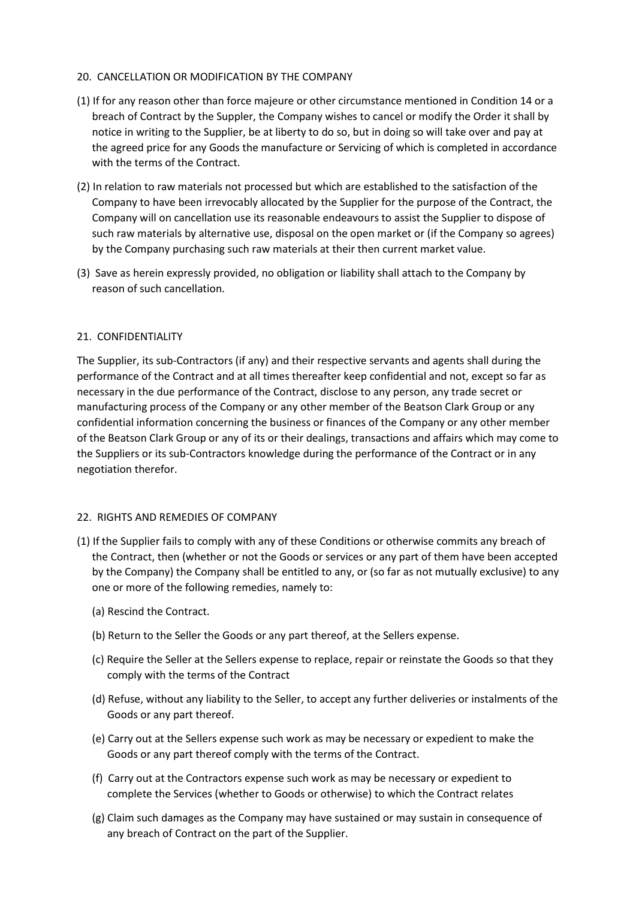## 20. CANCELLATION OR MODIFICATION BY THE COMPANY

- (1) If for any reason other than force majeure or other circumstance mentioned in Condition 14 or a breach of Contract by the Suppler, the Company wishes to cancel or modify the Order it shall by notice in writing to the Supplier, be at liberty to do so, but in doing so will take over and pay at the agreed price for any Goods the manufacture or Servicing of which is completed in accordance with the terms of the Contract.
- (2) In relation to raw materials not processed but which are established to the satisfaction of the Company to have been irrevocably allocated by the Supplier for the purpose of the Contract, the Company will on cancellation use its reasonable endeavours to assist the Supplier to dispose of such raw materials by alternative use, disposal on the open market or (if the Company so agrees) by the Company purchasing such raw materials at their then current market value.
- (3) Save as herein expressly provided, no obligation or liability shall attach to the Company by reason of such cancellation.

## 21. CONFIDENTIALITY

The Supplier, its sub-Contractors (if any) and their respective servants and agents shall during the performance of the Contract and at all times thereafter keep confidential and not, except so far as necessary in the due performance of the Contract, disclose to any person, any trade secret or manufacturing process of the Company or any other member of the Beatson Clark Group or any confidential information concerning the business or finances of the Company or any other member of the Beatson Clark Group or any of its or their dealings, transactions and affairs which may come to the Suppliers or its sub-Contractors knowledge during the performance of the Contract or in any negotiation therefor.

## 22. RIGHTS AND REMEDIES OF COMPANY

- (1) If the Supplier fails to comply with any of these Conditions or otherwise commits any breach of the Contract, then (whether or not the Goods or services or any part of them have been accepted by the Company) the Company shall be entitled to any, or (so far as not mutually exclusive) to any one or more of the following remedies, namely to:
	- (a) Rescind the Contract.
	- (b) Return to the Seller the Goods or any part thereof, at the Sellers expense.
	- (c) Require the Seller at the Sellers expense to replace, repair or reinstate the Goods so that they comply with the terms of the Contract
	- (d) Refuse, without any liability to the Seller, to accept any further deliveries or instalments of the Goods or any part thereof.
	- (e) Carry out at the Sellers expense such work as may be necessary or expedient to make the Goods or any part thereof comply with the terms of the Contract.
	- (f) Carry out at the Contractors expense such work as may be necessary or expedient to complete the Services (whether to Goods or otherwise) to which the Contract relates
	- (g) Claim such damages as the Company may have sustained or may sustain in consequence of any breach of Contract on the part of the Supplier.